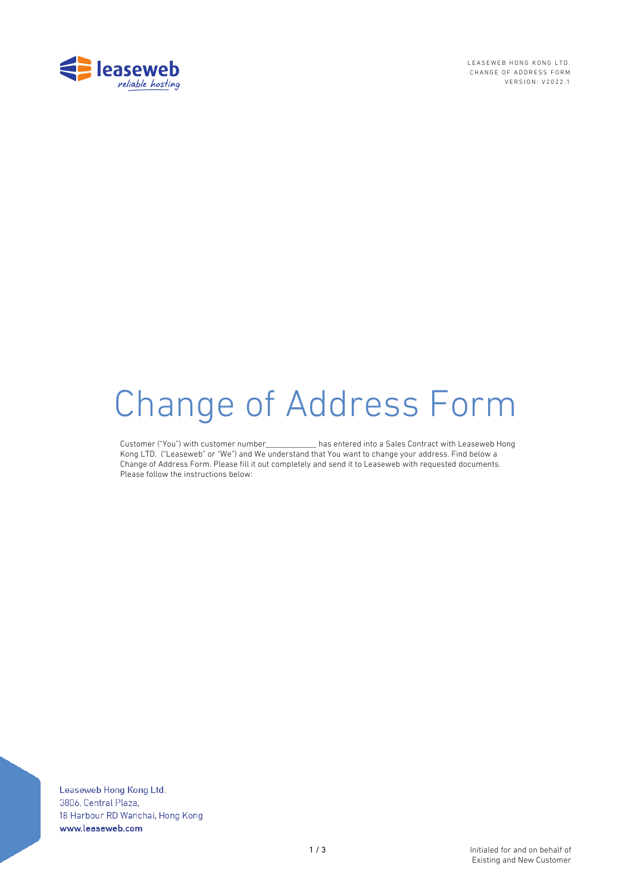

LEASEWEB HONG KONG LTD. CHANGE OF ADDRESS FORM VERSION: V2022.1

# Change of Address Form

Customer ("You") with customer number\_\_\_\_\_\_\_\_\_\_\_\_\_ has entered into a Sales Contract with Leaseweb Hong Kong LTD. ("Leaseweb" or "We") and We understand that You want to change your address. Find below a Change of Address Form. Please fill it out completely and send it to Leaseweb with requested documents. Please follow the instructions below:

Leaseweb Hong Kong Ltd. 3806, Central Plaza, 18 Harbour RD Wanchai, Hong Kong www.leaseweb.com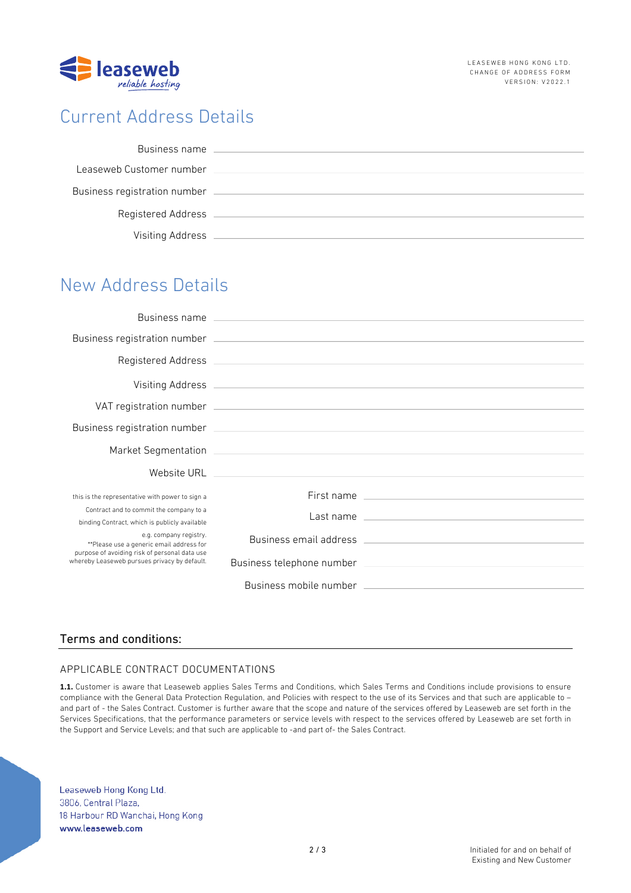

# Current Address Details

| Business name                |  |
|------------------------------|--|
| Leaseweb Customer number     |  |
| Business registration number |  |
| Registered Address           |  |
| Visiting Address             |  |

# New Address Details

| this is the representative with power to sign a                                                                                                                     | First name |
|---------------------------------------------------------------------------------------------------------------------------------------------------------------------|------------|
| Contract and to commit the company to a<br>binding Contract, which is publicly available                                                                            |            |
| e.g. company registry.<br>**Please use a generic email address for<br>purpose of avoiding risk of personal data use<br>whereby Leaseweb pursues privacy by default. |            |
|                                                                                                                                                                     |            |
|                                                                                                                                                                     |            |

## Terms and conditions:

## APPLICABLE CONTRACT DOCUMENTATIONS

**1.1.** Customer is aware that Leaseweb applies Sales Terms and Conditions, which Sales Terms and Conditions include provisions to ensure compliance with the General Data Protection Regulation, and Policies with respect to the use of its Services and that such are applicable to – and part of - the Sales Contract. Customer is further aware that the scope and nature of the services offered by Leaseweb are set forth in the Services Specifications, that the performance parameters or service levels with respect to the services offered by Leaseweb are set forth in the Support and Service Levels; and that such are applicable to -and part of- the Sales Contract.

Leaseweb Hong Kong Ltd. 3806, Central Plaza, 18 Harbour RD Wanchai, Hong Kong www.leaseweb.com